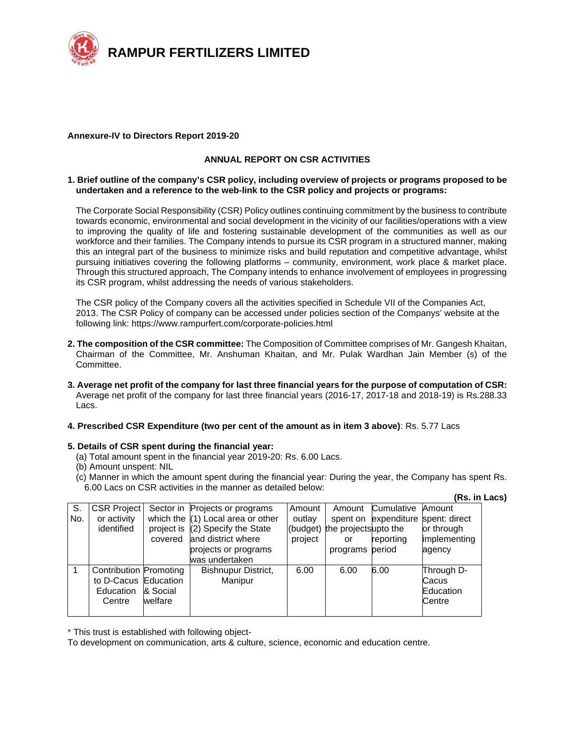

#### **Annexure-IV to Directors Report 2019-20**

## **ANNUAL REPORT ON CSR ACTIVITIES**

#### **1. Brief outline of the company's CSR policy, including overview of projects or programs proposed to be undertaken and a reference to the web-link to the CSR policy and projects or programs:**

The Corporate Social Responsibility (CSR) Policy outlines continuing commitment by the business to contribute towards economic, environmental and social development in the vicinity of our facilities/operations with a view to improving the quality of life and fostering sustainable development of the communities as well as our workforce and their families. The Company intends to pursue its CSR program in a structured manner, making this an integral part of the business to minimize risks and build reputation and competitive advantage, whilst pursuing initiatives covering the following platforms – community, environment, work place & market place. Through this structured approach, The Company intends to enhance involvement of employees in progressing its CSR program, whilst addressing the needs of various stakeholders.

The CSR policy of the Company covers all the activities specified in Schedule VII of the Companies Act, 2013. The CSR Policy of company can be accessed under policies section of the Companys' website at the following link: https://www.rampurfert.com/corporate-policies.html

- **2. The composition of the CSR committee:** The Composition of Committee comprises of Mr. Gangesh Khaitan, Chairman of the Committee, Mr. Anshuman Khaitan, and Mr. Pulak Wardhan Jain Member (s) of the Committee.
- **3. Average net profit of the company for last three financial years for the purpose of computation of CSR:**  Average net profit of the company for last three financial years (2016-17, 2017-18 and 2018-19) is Rs.288.33 Lacs.

## **4. Prescribed CSR Expenditure (two per cent of the amount as in item 3 above)**: Rs. 5.77 Lacs

## **5. Details of CSR spent during the financial year:**

- (a) Total amount spent in the financial year 2019-20: Rs. 6.00 Lacs.
- (b) Amount unspent: NIL
- (c) Manner in which the amount spent during the financial year: During the year, the Company has spent Rs. 6.00 Lacs on CSR activities in the manner as detailed below:

|             |                                                                    |                                  |                                                                                                                                                                  |                             |                                                                  |                                                 | (Rs. in Lacs)                                                   |  |
|-------------|--------------------------------------------------------------------|----------------------------------|------------------------------------------------------------------------------------------------------------------------------------------------------------------|-----------------------------|------------------------------------------------------------------|-------------------------------------------------|-----------------------------------------------------------------|--|
| S.<br>No.   | <b>CSR Project</b><br>or activity<br>identified                    | project is<br>covered            | Sector in Projects or programs<br>which the $(1)$ Local area or other<br>$(2)$ Specify the State<br>and district where<br>projects or programs<br>was undertaken | Amount<br>outlav<br>project | Amount<br>(budget) the projectsupto the<br>or<br>programs period | Cumulative<br>spent on expenditure<br>reporting | Amount<br>spent: direct<br>or through<br>implementing<br>agency |  |
| $\mathbf 1$ | <b>Contribution Promoting</b><br>to D-Cacus<br>Education<br>Centre | Education<br>& Social<br>welfare | Bishnupur District,<br>Manipur                                                                                                                                   | 6.00                        | 6.00                                                             | 6.00                                            | Through D-<br>Cacus<br>Education<br>Centre                      |  |

\* This trust is established with following object-

To development on communication, arts & culture, science, economic and education centre.